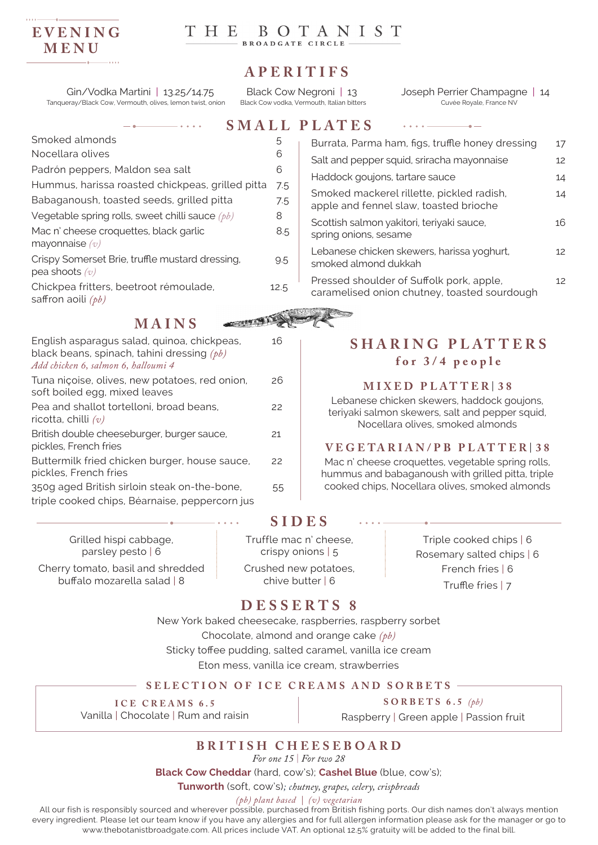## **EVENING MENU**

# HE BOTANIST

# **APERITIFS**

Gin/Vodka Martini | 13.25/14.75 Black Cow Negroni | 13 Joseph Perrier Champagne | 14 Tanqueray/Black Cow, Vermouth, olives, lemon twist, onion Black Cow vodka, Vermouth, Italian bitters Cuvée Royale, France NV

 $\sim$ 

|                                                                     |      | <b>SMALL PLATES</b>            |
|---------------------------------------------------------------------|------|--------------------------------|
| Smoked almonds                                                      | 5    | Burrata, Parn                  |
| Nocellara olives                                                    | 6    | Salt and pepp                  |
| Padrón peppers, Maldon sea salt                                     | 6    | Haddock gou                    |
| Hummus, harissa roasted chickpeas, grilled pitta                    | 7.5  |                                |
| Babaganoush, toasted seeds, grilled pitta                           | 7.5  | Smoked mad<br>apple and fe     |
| Vegetable spring rolls, sweet chilli sauce $(pb)$                   | 8    |                                |
| Mac n' cheese croquettes, black garlic<br>mayonnaise $(v)$          | 8.5  | Scottish salm<br>spring onions |
| Crispy Somerset Brie, truffle mustard dressing,<br>pea shoots $(v)$ | 9.5  | Lebanese chi<br>smoked almo    |
| Chickpea fritters, beetroot rémoulade,<br>saffron aoili $(pb)$      | 12.5 | Pressed shor<br>caramelised    |
|                                                                     |      |                                |

**MAINS**



| English asparagus salad, quinoa, chickpeas,<br>black beans, spinach, tahini dressing $(pb)$<br>Add chicken 6, salmon 6, halloumi 4 | 16 |
|------------------------------------------------------------------------------------------------------------------------------------|----|
| Tuna niçoise, olives, new potatoes, red onion,<br>soft boiled egg, mixed leaves                                                    | 26 |
| Pea and shallot tortelloni, broad beans,<br>ricotta, chilli $(v)$                                                                  | 22 |
| British double cheeseburger, burger sauce,<br>pickles, French fries                                                                | 21 |
| Buttermilk fried chicken burger, house sauce,<br>pickles, French fries                                                             | 22 |
| 350g aged British sirloin steak on-the-bone,<br>triple cooked chips, Béarnaise, peppercorn jus                                     | 55 |
|                                                                                                                                    |    |

Grilled hispi cabbage, parsley pesto | 6

Cherry tomato, basil and shredded buffalo mozarella salad | 8

## **SIDES**

Truffle mac n' cheese, crispy onions | 5

Crushed new potatoes, chive butter | 6

Triple cooked chips | 6 Rosemary salted chips | 6 French fries | 6 Truffle fries | 7

# **DESSERTS 8**

New York baked cheesecake, raspberries, raspberry sorbet Chocolate, almond and orange cake *(pb)* Sticky toffee pudding, salted caramel, vanilla ice cream Eton mess, vanilla ice cream, strawberries

#### **SELECTION OF ICE CREAMS AND SORBETS**

**ICE CREAMS 6.5**

Vanilla | Chocolate | Rum and raisin

**SORBETS 6.5** *(pb)*

Raspberry | Green apple | Passion fruit

# **BRITISH CHEESEBOARD**

*For one 15* | *For two 28*

**Black Cow Cheddar** (hard, cow's); **Cashel Blue** (blue, cow's);

**Tunworth** (soft, cow's)*; chutney, grapes, celery, crispbreads*

*(pb) plant based | (v) vegetarian*

All our fish is responsibly sourced and wherever possible, purchased from British fishing ports. Our dish names don't always mention every ingredient. Please let our team know if you have any allergies and for full allergen information please ask for the manager or go to www.thebotanistbroadgate.com. All prices include VAT. An optional 12.5% gratuity will be added to the final bill.

Burrata, Parma ham, figs, truffle honey dressing 17 Salt and pepper squid, sriracha mayonnaise 12 Haddock goujons, tartare sauce 14 Smoked mackerel rillette, pickled radish, 14 apple and fennel slaw, toasted brioche Scottish salmon vakitori, teriyaki sauce,  $16$ spring onions, sesame Lebanese chicken skewers, harissa yoghurt, 12 smoked almond dukkah Pressed shoulder of Suffolk pork, apple, 12 caramelised onion chutney, toasted sourdough

# **SHARING PLAT TERS for 3/4 people**

#### **MIXED PLAT TER** | **3 8**

Lebanese chicken skewers, haddock goujons, teriyaki salmon skewers, salt and pepper squid, Nocellara olives, smoked almonds

#### **V E G E TA R I A N / P B P L AT T ER** | **3 8**

Mac n' cheese croquettes, vegetable spring rolls, hummus and babaganoush with grilled pitta, triple cooked chips, Nocellara olives, smoked almonds